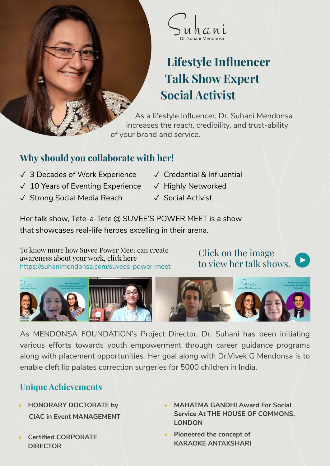

# **Lifestyle Influencer Talk Show Expert Social Activist**

As a lifestyle Influencer, Dr. Suhani Mendonsa increases the reach, credibility, and trust-ability of your brand and service.

## **Why should you collaborate with her!**

- ✓ 3 Decades of Work Experience
- ✓ 10 Years of Eventing Experience
- ✓ Strong Social Media Reach
- ✓ Credential & Influential
- ✓ Highly Networked
- ✓ Social Activist

Her talk show, Tete-a-Tete @ SUVEE'S POWER MEET is a show that showcases real-life heroes excelling in their arena.

To know more how Suvee Power Meet can create awareness about your work, click here https://suhanimendonsa.com/suvees-power-meet

Click on the image to view her talk shows.





As MENDONSA FOUNDATION's Project Director, Dr. Suhani has been initiating various efforts towards youth empowerment through career guidance programs along with placement opportunities. Her goal along with Dr.Vivek G Mendonsa is to enable cleft lip palates correction surgeries for 5000 children in India.

## **Unique Achievements**

- **• HONORARY DOCTORATE by CIAC in Event MANAGEMENT**
- **• Certified CORPORATE DIRECTOR**
- **• MAHATMA GANDHI Award For Social Service At THE HOUSE OF COMMONS, LONDON**
- **• Pioneered the concept of KARAOKE ANTAKSHARI**